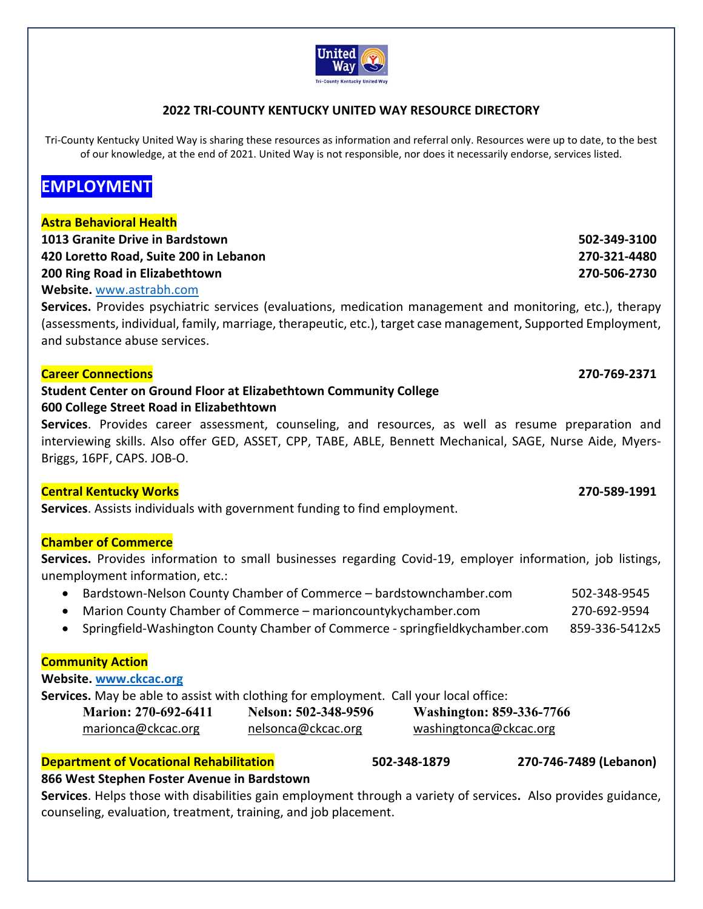

# **2022 TRI‐COUNTY KENTUCKY UNITED WAY RESOURCE DIRECTORY**

Tri-County Kentucky United Way is sharing these resources as information and referral only. Resources were up to date, to the best of our knowledge, at the end of 2021. United Way is not responsible, nor does it necessarily endorse, services listed.

# **EMPLOYMENT**

### **Astra Behavioral Health**

| 1013 Granite Drive in Bardstown        | 502-349-3100 |
|----------------------------------------|--------------|
| 420 Loretto Road, Suite 200 in Lebanon | 270-321-4480 |
| 200 Ring Road in Elizabethtown         | 270-506-2730 |

#### **Website.** www.astrabh.com

**Services.**  Provides psychiatric services (evaluations, medication management and monitoring, etc.), therapy (assessments, individual, family, marriage, therapeutic, etc.), target case management, Supported Employment, and substance abuse services.

#### **Career Connections 270‐769‐2371**

# **Student Center on Ground Floor at Elizabethtown Community College 600 College Street Road in Elizabethtown**

**Services**. Provides career assessment, counseling, and resources, as well as resume preparation and interviewing skills. Also offer GED, ASSET, CPP, TABE, ABLE, Bennett Mechanical, SAGE, Nurse Aide, Myers-Briggs, 16PF, CAPS. JOB‐O.

### **Central Kentucky Works 270‐589‐1991**

**Services**. Assists individuals with government funding to find employment.

### **Chamber of Commerce**

**Services.**  Provides information to small businesses regarding Covid‐19, employer information, job listings, unemployment information, etc.:

- Bardstown‐Nelson County Chamber of Commerce bardstownchamber.com 502‐348‐9545
- Marion County Chamber of Commerce marioncountykychamber.com 270‐692‐9594
- Springfield-Washington County Chamber of Commerce springfieldkychamber.com 859-336-5412x5

### **Community Action**

#### **Website. www.ckcac.org**

**Services.** May be able to assist with clothing for employment. Call your local office:

| <b>Marion: 270-692-6411</b> |  |
|-----------------------------|--|
| marionca@ckcac.org          |  |

### **Department of Vocational Rehabilitation 502‐348‐1879 270‐746‐7489 (Lebanon)**

**Marion: 270-692-6411 Nelson: 502-348-9596 Washington: 859-336-7766**  nelsonca@ckcac.org margionca@ckcac.org margionca@ckcac.org

### **866 West Stephen Foster Avenue in Bardstown**

**Services**. Helps those with disabilities gain employment through a variety of services**.**  Also provides guidance, counseling, evaluation, treatment, training, and job placement.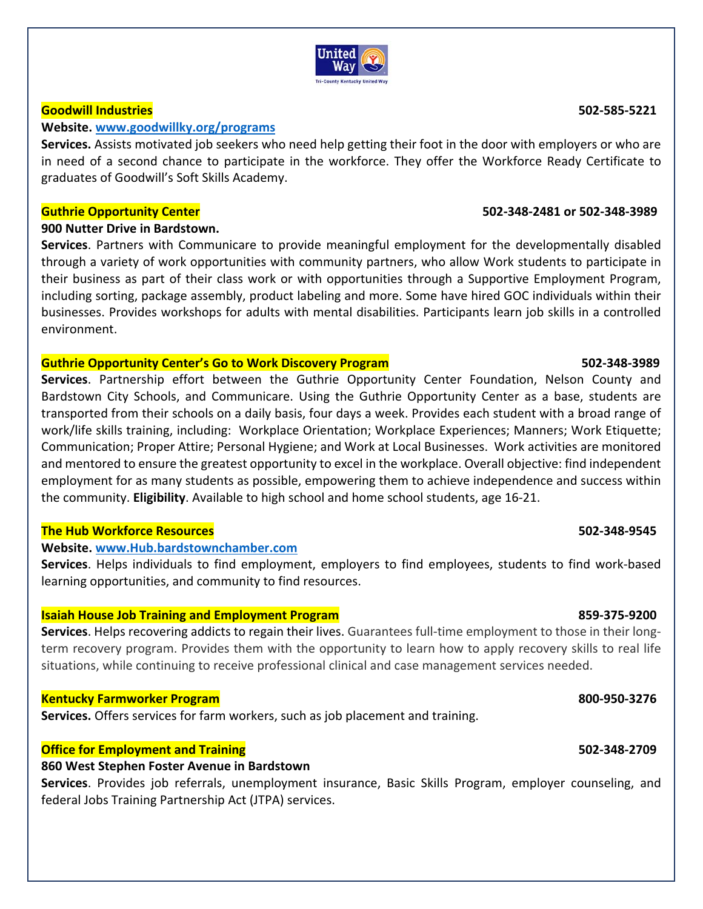#### IIniter wav **Tri-County Kentucky United Way**

#### **Goodwill Industries 502‐585‐5221**

#### **Website. www.goodwillky.org/programs**

**Services.** Assists motivated job seekers who need help getting their foot in the door with employers or who are in need of a second chance to participate in the workforce. They offer the Workforce Ready Certificate to graduates of Goodwill's Soft Skills Academy.

#### **Guthrie Opportunity Center 502‐348‐2481 or 502‐348‐3989**

### **900 Nutter Drive in Bardstown.**

**Services**. Partners with Communicare to provide meaningful employment for the developmentally disabled through a variety of work opportunities with community partners, who allow Work students to participate in their business as part of their class work or with opportunities through a Supportive Employment Program, including sorting, package assembly, product labeling and more. Some have hired GOC individuals within their businesses. Provides workshops for adults with mental disabilities. Participants learn job skills in a controlled environment.

### **Guthrie Opportunity Center's Go to Work Discovery Program 502‐348‐3989**

**Services**. Partnership effort between the Guthrie Opportunity Center Foundation, Nelson County and Bardstown City Schools, and Communicare. Using the Guthrie Opportunity Center as a base, students are transported from their schools on a daily basis, four days a week. Provides each student with a broad range of work/life skills training, including: Workplace Orientation; Workplace Experiences; Manners; Work Etiquette; Communication; Proper Attire; Personal Hygiene; and Work at Local Businesses. Work activities are monitored and mentored to ensure the greatest opportunity to excel in the workplace. Overall objective: find independent employment for as many students as possible, empowering them to achieve independence and success within the community. **Eligibility**. Available to high school and home school students, age 16‐21.

### **The Hub Workforce Resources 502‐348‐9545**

### **Website. www.Hub.bardstownchamber.com**

Services. Helps individuals to find employment, employers to find employees, students to find work-based learning opportunities, and community to find resources.

### **Isaiah House Job Training and Employment Program 859‐375‐9200**

**Services**. Helps recovering addicts to regain their lives. Guarantees full‐time employment to those in their long‐ term recovery program. Provides them with the opportunity to learn how to apply recovery skills to real life situations, while continuing to receive professional clinical and case management services needed.

### **Kentucky Farmworker Program 800‐950‐3276**

**Services.** Offers services for farm workers, such as job placement and training.

### **Office for Employment and Training 502‐348‐2709**

### **860 West Stephen Foster Avenue in Bardstown**

**Services**. Provides job referrals, unemployment insurance, Basic Skills Program, employer counseling, and federal Jobs Training Partnership Act (JTPA) services.

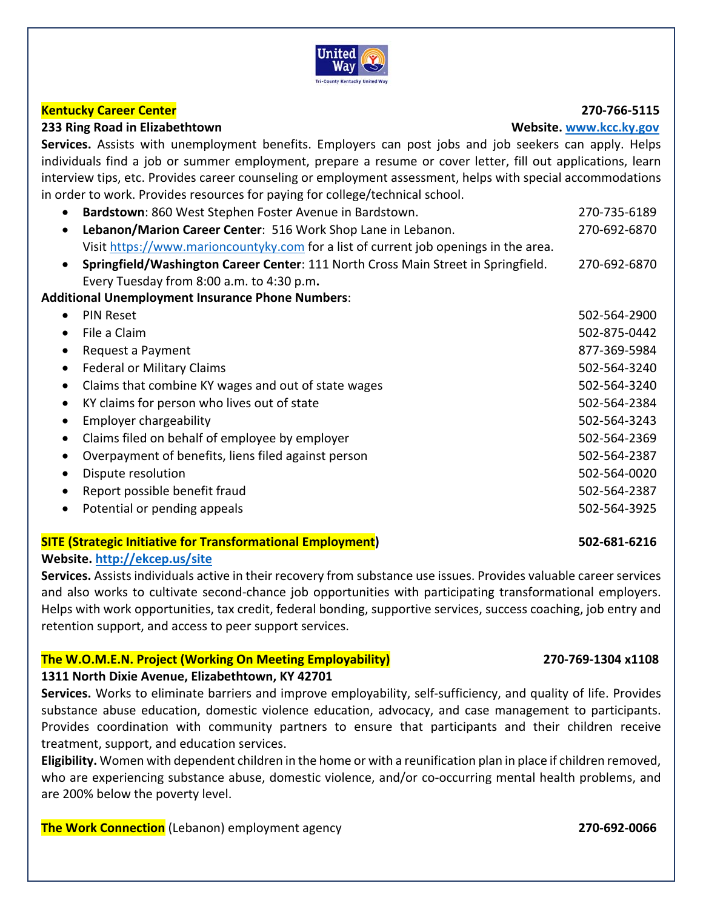

### **Kentucky Career Center 270‐766‐5115**

#### **233 Ring Road in Elizabethtown Website. www.kcc.ky.gov**

Services. Assists with unemployment benefits. Employers can post jobs and job seekers can apply. Helps individuals find a job or summer employment, prepare a resume or cover letter, fill out applications, learn interview tips, etc. Provides career counseling or employment assessment, helps with special accommodations in order to work. Provides resources for paying for college/technical school.

| $\bullet$ | Bardstown: 860 West Stephen Foster Avenue in Bardstown.                              | 270-735-6189 |
|-----------|--------------------------------------------------------------------------------------|--------------|
| $\bullet$ | Lebanon/Marion Career Center: 516 Work Shop Lane in Lebanon.                         | 270-692-6870 |
|           | Visit https://www.marioncountyky.com for a list of current job openings in the area. |              |
| $\bullet$ | Springfield/Washington Career Center: 111 North Cross Main Street in Springfield.    | 270-692-6870 |
|           | Every Tuesday from 8:00 a.m. to 4:30 p.m.                                            |              |
|           | <b>Additional Unemployment Insurance Phone Numbers:</b>                              |              |
| $\bullet$ | <b>PIN Reset</b>                                                                     | 502-564-2900 |
| $\bullet$ | File a Claim                                                                         | 502-875-0442 |
| $\bullet$ | Request a Payment                                                                    | 877-369-5984 |
| $\bullet$ | <b>Federal or Military Claims</b>                                                    | 502-564-3240 |
| $\bullet$ | Claims that combine KY wages and out of state wages                                  | 502-564-3240 |
| $\bullet$ | KY claims for person who lives out of state                                          | 502-564-2384 |
| $\bullet$ | <b>Employer chargeability</b>                                                        | 502-564-3243 |
| ٠         | Claims filed on behalf of employee by employer                                       | 502-564-2369 |
| $\bullet$ | Overpayment of benefits, liens filed against person                                  | 502-564-2387 |
| $\bullet$ | Dispute resolution                                                                   | 502-564-0020 |
| $\bullet$ | Report possible benefit fraud                                                        | 502-564-2387 |
| $\bullet$ | Potential or pending appeals                                                         | 502-564-3925 |

### **SITE (Strategic Initiative for Transformational Employment) 502‐681‐6216 Website. http://ekcep.us/site**

**Services.** Assists individuals active in their recovery from substance use issues. Provides valuable career services and also works to cultivate second-chance job opportunities with participating transformational employers. Helps with work opportunities, tax credit, federal bonding, supportive services, success coaching, job entry and retention support, and access to peer support services.

### **The W.O.M.E.N. Project (Working On Meeting Employability) 270‐769‐1304 x1108**

#### **1311 North Dixie Avenue, Elizabethtown, KY 42701**

Services. Works to eliminate barriers and improve employability, self-sufficiency, and quality of life. Provides substance abuse education, domestic violence education, advocacy, and case management to participants. Provides coordination with community partners to ensure that participants and their children receive treatment, support, and education services.

**Eligibility.** Women with dependent children in the home or with a reunification plan in place if children removed, who are experiencing substance abuse, domestic violence, and/or co-occurring mental health problems, and are 200% below the poverty level.